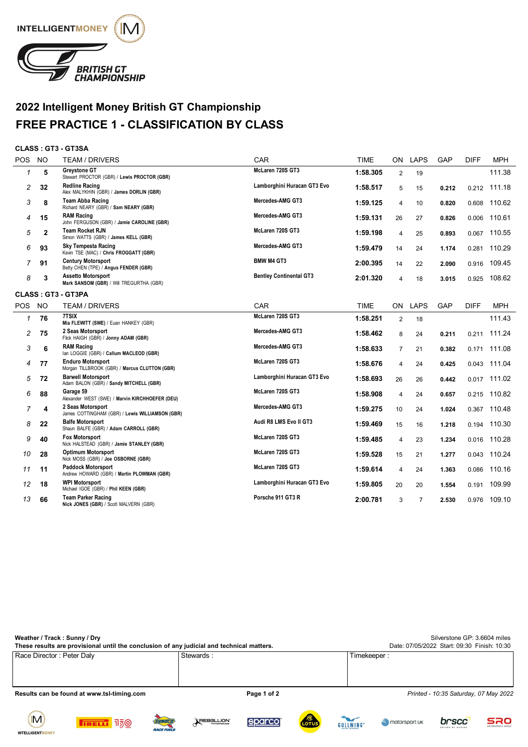

## **2022 Intelligent Money British GT Championship FREE PRACTICE 1 - CLASSIFICATION BY CLASS**

## **CLASS : GT3 - GT3SA**

| POS          | <b>NO</b>    | <b>TEAM / DRIVERS</b>                                                     | CAR                            | <b>TIME</b> | ON.                     | LAPS           | GAP   | <b>DIFF</b> | <b>MPH</b> |
|--------------|--------------|---------------------------------------------------------------------------|--------------------------------|-------------|-------------------------|----------------|-------|-------------|------------|
| $\mathbf{1}$ | 5            | <b>Grevstone GT</b><br>Stewart PROCTOR (GBR) / Lewis PROCTOR (GBR)        | McLaren 720S GT3               | 1:58.305    | $\overline{2}$          | 19             |       |             | 111.38     |
| 2            | 32           | <b>Redline Racing</b><br>Alex MALYKHIN (GBR) / James DORLIN (GBR)         | Lamborghini Huracan GT3 Evo    | 1:58.517    | 5                       | 15             | 0.212 | 0.212       | 111.18     |
| 3            | 8            | Team Abba Racing<br>Richard NEARY (GBR) / Sam NEARY (GBR)                 | Mercedes-AMG GT3               | 1:59.125    | 4                       | 10             | 0.820 | 0.608       | 110.62     |
| 4            | 15           | <b>RAM Racing</b><br>John FERGUSON (GBR) / Jamie CAROLINE (GBR)           | Mercedes-AMG GT3               | 1:59.131    | 26                      | 27             | 0.826 | 0.006       | 110.61     |
| 5            | $\mathbf{2}$ | <b>Team Rocket RJN</b><br>Simon WATTS (GBR) / James KELL (GBR)            | McLaren 720S GT3               | 1:59.198    | 4                       | 25             | 0.893 | 0.067       | 110.55     |
| 6            | 93           | <b>Sky Tempesta Racing</b><br>Kevin TSE (MAC) / Chris FROGGATT (GBR)      | Mercedes-AMG GT3               | 1:59.479    | 14                      | 24             | 1.174 | 0.281       | 110.29     |
| 7            | 91           | <b>Century Motorsport</b><br>Betty CHEN (TPE) / Angus FENDER (GBR)        | <b>BMW M4 GT3</b>              | 2:00.395    | 14                      | 22             | 2.090 | 0.916       | 109.45     |
| 8            | 3            | <b>Assetto Motorsport</b><br>Mark SANSOM (GBR) / Will TREGURTHA (GBR)     | <b>Bentley Continental GT3</b> | 2:01.320    | $\overline{\mathbf{4}}$ | 18             | 3.015 | 0.925       | 108.62     |
|              |              | <b>CLASS: GT3 - GT3PA</b>                                                 |                                |             |                         |                |       |             |            |
| <b>POS</b>   | <b>NO</b>    | <b>TEAM / DRIVERS</b>                                                     | CAR                            | <b>TIME</b> | ON.                     | <b>LAPS</b>    | GAP   | <b>DIFF</b> | <b>MPH</b> |
| $\mathcal I$ | 76           | 7TSIX<br>Mia FLEWITT (SWE) / Euan HANKEY (GBR)                            | McLaren 720S GT3               | 1:58.251    | $\overline{2}$          | 18             |       |             | 111.43     |
| 2            | 75           | 2 Seas Motorsport<br>Flick HAIGH (GBR) / Jonny ADAM (GBR)                 | Mercedes-AMG GT3               | 1:58.462    | 8                       | 24             | 0.211 | 0.211       | 111.24     |
| 3            | 6            | <b>RAM Racing</b><br>lan LOGGIE (GBR) / Callum MACLEOD (GBR)              | Mercedes-AMG GT3               | 1:58.633    | $\overline{7}$          | 21             | 0.382 | 0.171       | 111.08     |
| 4            | 77           | <b>Enduro Motorsport</b><br>Morgan TILLBROOK (GBR) / Marcus CLUTTON (GBR) | McLaren 720S GT3               | 1:58.676    | 4                       | 24             | 0.425 | 0.043       | 111.04     |
| 5            | 72           | <b>Barwell Motorsport</b><br>Adam BALON (GBR) / Sandy MITCHELL (GBR)      | Lamborghini Huracan GT3 Evo    | 1:58.693    | 26                      | 26             | 0.442 | 0.017       | 111.02     |
| 6            | 88           | Garage 59<br>Alexander WEST (SWE) / Marvin KIRCHHOEFER (DEU)              | McLaren 720S GT3               | 1:58.908    | 4                       | 24             | 0.657 | 0.215       | 110.82     |
| 7            | 4            | 2 Seas Motorsport<br>James COTTINGHAM (GBR) / Lewis WILLIAMSON (GBR)      | Mercedes-AMG GT3               | 1:59.275    | 10                      | 24             | 1.024 | 0.367       | 110.48     |
| 8            | 22           | <b>Balfe Motorsport</b><br>Shaun BALFE (GBR) / Adam CARROLL (GBR)         | Audi R8 LMS Evo II GT3         | 1:59.469    | 15                      | 16             | 1.218 | 0.194       | 110.30     |
| 9            | 40           | <b>Fox Motorsport</b><br>Nick HALSTEAD (GBR) / Jamie STANLEY (GBR)        | McLaren 720S GT3               | 1:59.485    | $\overline{4}$          | 23             | 1.234 | 0.016       | 110.28     |
| 10           | 28           | <b>Optimum Motorsport</b><br>Nick MOSS (GBR) / Joe OSBORNE (GBR)          | McLaren 720S GT3               | 1:59.528    | 15                      | 21             | 1.277 | 0.043       | 110.24     |
| 11           | 11           | Paddock Motorsport<br>Andrew HOWARD (GBR) / Martin PLOWMAN (GBR)          | McLaren 720S GT3               | 1:59.614    | 4                       | 24             | 1.363 | 0.086       | 110.16     |
| 12           | 18           | <b>WPI Motorsport</b><br>Michael IGOE (GBR) / Phil KEEN (GBR)             | Lamborghini Huracan GT3 Evo    | 1:59.805    | 20                      | 20             | 1.554 | 0.191       | 109.99     |
| 13           | 66           | <b>Team Parker Racing</b><br>Nick JONES (GBR) / Scott MALVERN (GBR)       | Porsche 911 GT3 R              | 2:00.781    | 3                       | $\overline{7}$ | 2.530 | 0.976       | 109.10     |

| Weather / Track: Sunny / Dry<br>These results are provisional until the conclusion of any judicial and technical matters. | Silverstone GP: 3.6604 miles<br>Date: 07/05/2022 Start: 09:30 Finish: 10:30 |                                       |
|---------------------------------------------------------------------------------------------------------------------------|-----------------------------------------------------------------------------|---------------------------------------|
| Race Director : Peter Daly                                                                                                | Stewards:                                                                   | Timekeeper :                          |
| Results can be found at www.tsl-timing.com                                                                                | Page 1 of 2                                                                 | Printed - 10:35 Saturday, 07 May 2022 |